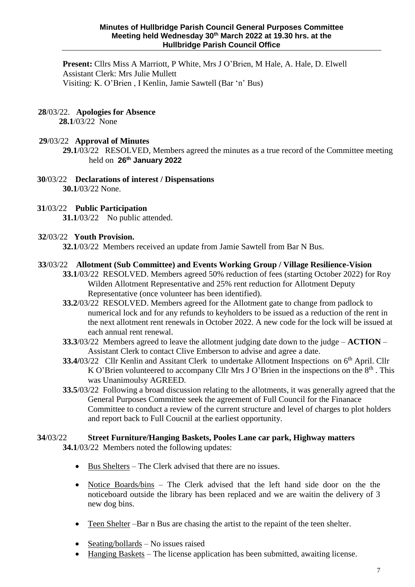**Present:** Cllrs Miss A Marriott, P White, Mrs J O'Brien, M Hale, A. Hale, D. Elwell Assistant Clerk: Mrs Julie Mullett Visiting: K. O'Brien , I Kenlin, Jamie Sawtell (Bar 'n' Bus)

# **28**/03/22. **Apologies for Absence**

**28.1**/03/22 None

# **29**/03/22 **Approval of Minutes**

**29.1**/03/22 RESOLVED, Members agreed the minutes as a true record of the Committee meeting held on **26 th January 2022**

 **30**/03/22 **Declarations of interest / Dispensations 30.1**/03/22 None.

## **31**/03/22 **Public Participation**

**31.1/03/22** No public attended.

## **32**/03/22 **Youth Provision.**

**32.1**/03/22 Members received an update from Jamie Sawtell from Bar N Bus.

## **33**/03/22 **Allotment (Sub Committee) and Events Working Group / Village Resilience-Vision**

- **33.1**/03/22 RESOLVED. Members agreed 50% reduction of fees (starting October 2022) for Roy Wilden Allotment Representative and 25% rent reduction for Allotment Deputy Representative (once volunteer has been identified).
- **33.2**/03/22 RESOLVED. Members agreed for the Allotment gate to change from padlock to numerical lock and for any refunds to keyholders to be issued as a reduction of the rent in the next allotment rent renewals in October 2022. A new code for the lock will be issued at each annual rent renewal.
- **33.3**/03/22 Members agreed to leave the allotment judging date down to the judge **ACTION**  Assistant Clerk to contact Clive Emberson to advise and agree a date.
- **33.4/03/22** Cllr Kenlin and Assitant Clerk to undertake Allotment Inspections on 6<sup>th</sup> April. Cllr K O'Brien volunteered to accompany Cllr Mrs J O'Brien in the inspections on the  $8<sup>th</sup>$ . This was Unanimoulsy AGREED.
- **33.5**/03/22 Following a broad discussion relating to the allotments, it was generally agreed that the General Purposes Committee seek the agreement of Full Council for the Finanace Committee to conduct a review of the current structure and level of charges to plot holders and report back to Full Coucnil at the earliest opportunity.

# **34**/03/22 **Street Furniture/Hanging Baskets, Pooles Lane car park, Highway matters**

**34.1**/03/22 Members noted the following updates:

- Bus Shelters The Clerk advised that there are no issues.
- Notice Boards/bins The Clerk advised that the left hand side door on the the noticeboard outside the library has been replaced and we are waitin the delivery of 3 new dog bins.
- Teen Shelter –Bar n Bus are chasing the artist to the repaint of the teen shelter.
- Seating/bollards No issues raised
- Hanging Baskets The license application has been submitted, awaiting license.